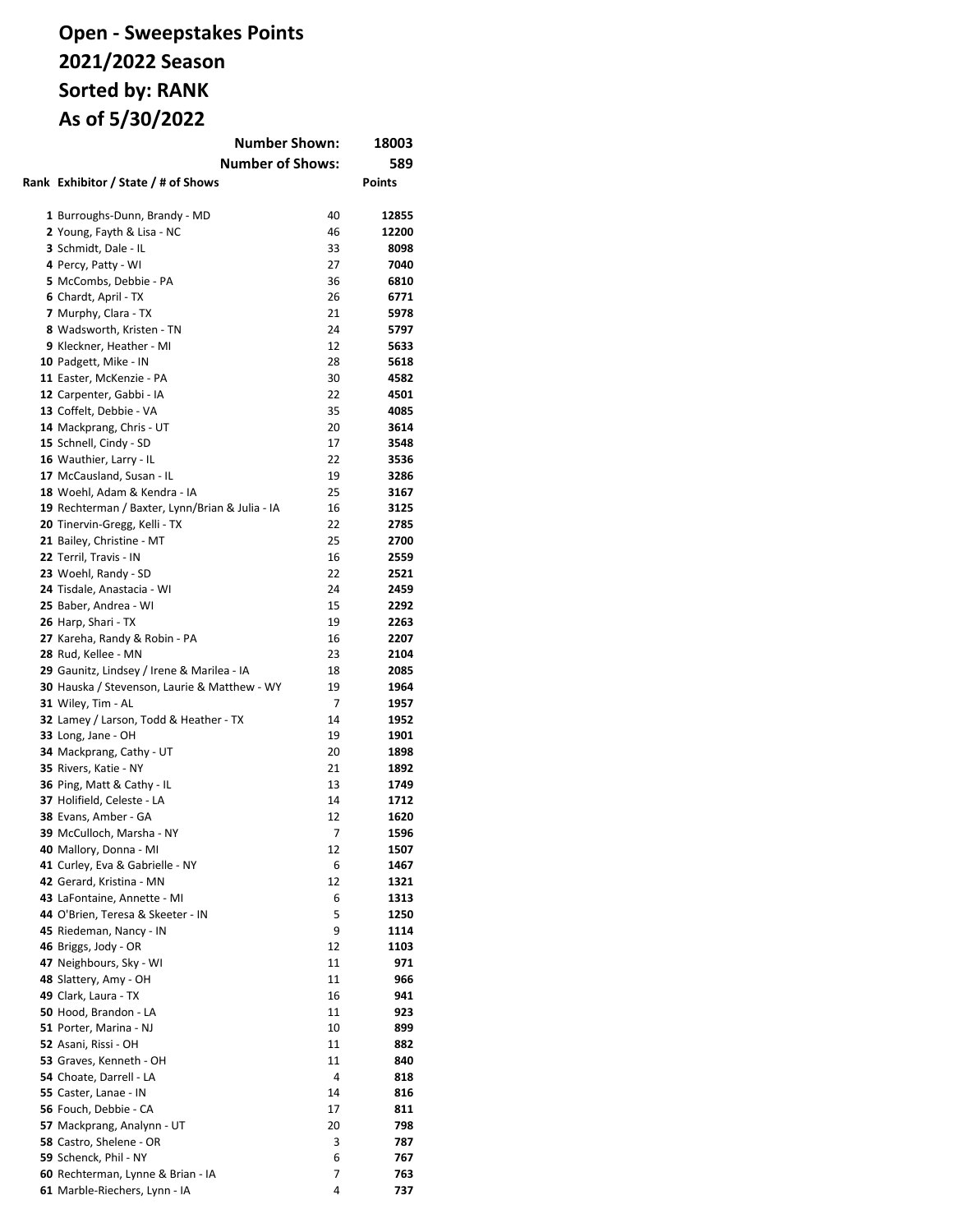#### **Open - Sweepstakes Points 2021/2022 Season Sorted by: RANK As of 5/30/2022 Number Shown: 18003**

| Number Shown:<br>18003                                       |          |               |  |
|--------------------------------------------------------------|----------|---------------|--|
| <b>Number of Shows:</b>                                      |          | 589           |  |
| Rank Exhibitor / State / # of Shows                          |          | <b>Points</b> |  |
| 1 Burroughs-Dunn, Brandy - MD                                | 40       | 12855         |  |
| 2 Young, Fayth & Lisa - NC                                   | 46       | 12200         |  |
| 3 Schmidt, Dale - IL                                         | 33       | 8098          |  |
| 4 Percy, Patty - WI                                          | 27       | 7040          |  |
| 5 McCombs, Debbie - PA                                       | 36       | 6810          |  |
| 6 Chardt, April - TX                                         | 26       | 6771          |  |
| 7 Murphy, Clara - TX                                         | 21       | 5978          |  |
| 8 Wadsworth, Kristen - TN                                    | 24       | 5797          |  |
| 9 Kleckner, Heather - MI                                     | 12       | 5633          |  |
| 10 Padgett, Mike - IN                                        | 28       | 5618          |  |
| 11 Easter, McKenzie - PA                                     | 30       | 4582          |  |
| 12 Carpenter, Gabbi - IA                                     | 22       | 4501          |  |
| 13 Coffelt, Debbie - VA                                      | 35       | 4085          |  |
| 14 Mackprang, Chris - UT                                     | 20       | 3614          |  |
| 15 Schnell, Cindy - SD                                       | 17       | 3548          |  |
| 16 Wauthier, Larry - IL                                      | 22       | 3536          |  |
| 17 McCausland, Susan - IL                                    | 19       | 3286          |  |
| 18 Woehl, Adam & Kendra - IA                                 | 25       | 3167          |  |
| 19 Rechterman / Baxter, Lynn/Brian & Julia - IA              | 16       | 3125          |  |
| 20 Tinervin-Gregg, Kelli - TX                                | 22       | 2785          |  |
| 21 Bailey, Christine - MT                                    | 25       | 2700          |  |
| 22 Terril, Travis - IN                                       | 16       | 2559          |  |
| 23 Woehl, Randy - SD                                         | 22       | 2521          |  |
| 24 Tisdale, Anastacia - WI                                   | 24       | 2459          |  |
| 25 Baber, Andrea - WI                                        | 15       | 2292          |  |
| 26 Harp, Shari - TX                                          | 19       | 2263          |  |
| 27 Kareha, Randy & Robin - PA                                | 16       | 2207          |  |
| 28 Rud, Kellee - MN                                          | 23       | 2104          |  |
| 29 Gaunitz, Lindsey / Irene & Marilea - IA                   | 18       | 2085          |  |
| 30 Hauska / Stevenson, Laurie & Matthew - WY                 | 19       | 1964          |  |
| 31 Wiley, Tim - AL                                           | 7        | 1957          |  |
| 32 Lamey / Larson, Todd & Heather - TX<br>33 Long, Jane - OH | 14<br>19 | 1952<br>1901  |  |
| 34 Mackprang, Cathy - UT                                     | 20       | 1898          |  |
| 35 Rivers, Katie - NY                                        | 21       | 1892          |  |
| 36 Ping, Matt & Cathy - IL                                   | 13       | 1749          |  |
| 37 Holifield, Celeste - LA                                   | 14       | 1712          |  |
| 38 Evans, Amber - GA                                         | 12       | 1620          |  |
| 39 McCulloch, Marsha - NY                                    | 7        | 1596          |  |
| 40 Mallory, Donna - MI                                       | 12       | 1507          |  |
| 41 Curley, Eva & Gabrielle - NY                              | 6        | 1467          |  |
| 42 Gerard, Kristina - MN                                     | 12       | 1321          |  |
| 43 LaFontaine, Annette - MI                                  | 6        | 1313          |  |
| 44 O'Brien, Teresa & Skeeter - IN                            | 5        | 1250          |  |
| 45 Riedeman, Nancy - IN                                      | 9        | 1114          |  |
| 46 Briggs, Jody - OR                                         | 12       | 1103          |  |
| 47 Neighbours, Sky - WI                                      | 11       | 971           |  |
| 48 Slattery, Amy - OH                                        | 11       | 966           |  |
| 49 Clark, Laura - TX                                         | 16       | 941           |  |
| 50 Hood, Brandon - LA                                        | 11       | 923           |  |
| 51 Porter, Marina - NJ                                       | 10       | 899           |  |
| <b>52</b> Asani, Rissi - OH                                  | 11       | 882           |  |
| 53 Graves, Kenneth - OH                                      | 11       | 840           |  |
| 54 Choate, Darrell - LA                                      | 4        | 818           |  |
| 55 Caster, Lanae - IN                                        | 14       | 816           |  |
| 56 Fouch, Debbie - CA                                        | 17       | 811           |  |
| 57 Mackprang, Analynn - UT                                   | 20       | 798           |  |
| 58 Castro, Shelene - OR                                      | 3        | 787           |  |
| 59 Schenck, Phil - NY                                        | 6        | 767           |  |
| 60 Rechterman, Lynne & Brian - IA                            | 7        | 763           |  |
| 61 Marble-Riechers, Lynn - IA                                | 4        | 737           |  |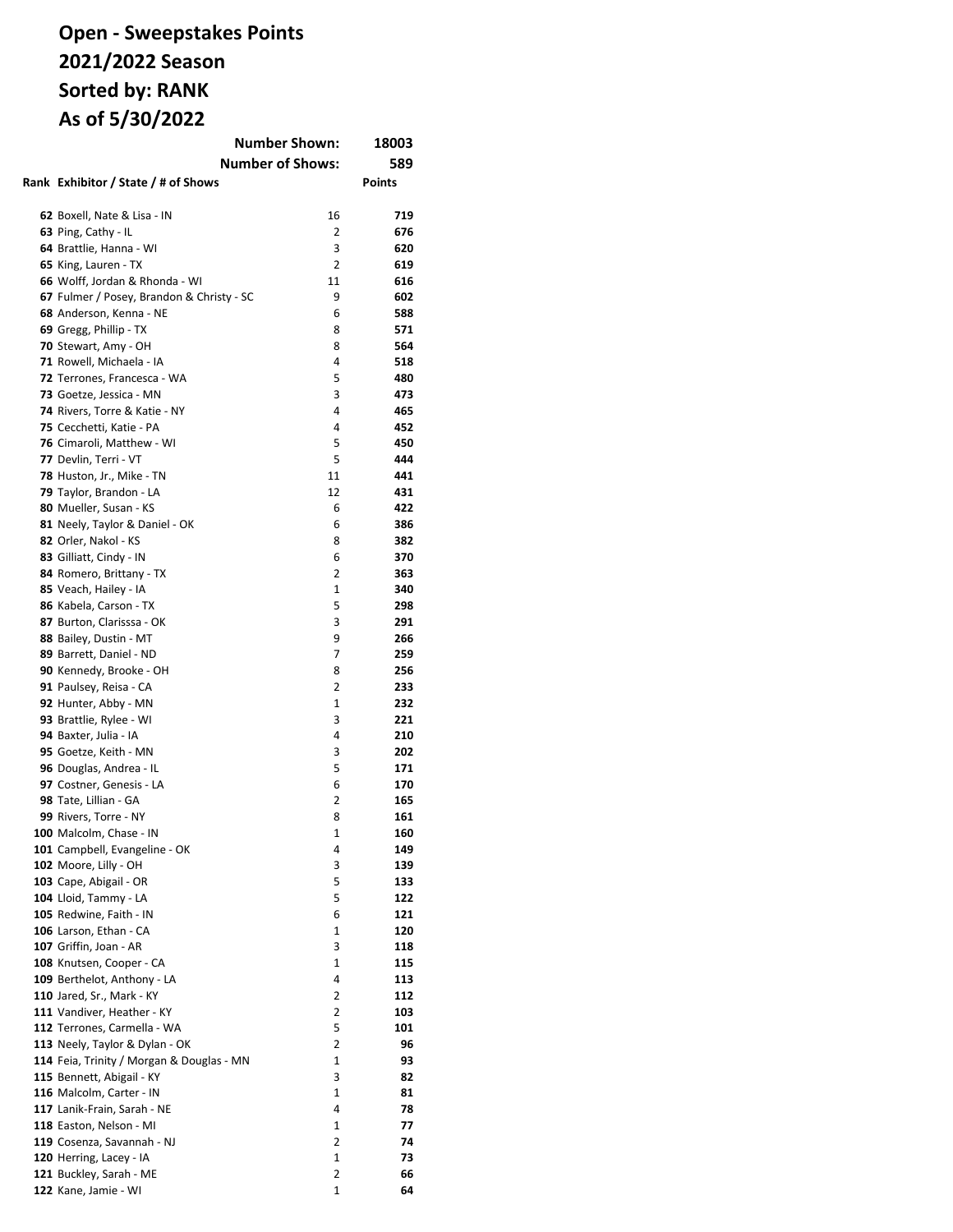### **Open - Sweepstakes Points 2021/2022 Season Sorted by: RANK As of 5/30/2022**

|  | <b>Number Shown:</b>                                          | 18003        |            |
|--|---------------------------------------------------------------|--------------|------------|
|  | <b>Number of Shows:</b>                                       |              | 589        |
|  | Rank Exhibitor / State / # of Shows                           |              | Points     |
|  |                                                               |              |            |
|  | 62 Boxell, Nate & Lisa - IN                                   | 16           | 719        |
|  | 63 Ping, Cathy - IL                                           | 2            | 676        |
|  | 64 Brattlie, Hanna - WI                                       | 3            | 620        |
|  | 65 King, Lauren - TX                                          | 2            | 619        |
|  | 66 Wolff, Jordan & Rhonda - WI                                | 11           | 616        |
|  | 67 Fulmer / Posey, Brandon & Christy - SC                     | 9            | 602        |
|  | 68 Anderson, Kenna - NE                                       | 6            | 588        |
|  | 69 Gregg, Phillip - TX                                        | 8            | 571        |
|  | 70 Stewart, Amy - OH                                          | 8            | 564        |
|  | 71 Rowell, Michaela - IA                                      | 4            | 518        |
|  | 72 Terrones, Francesca - WA                                   | 5            | 480        |
|  | 73 Goetze, Jessica - MN                                       | 3            | 473        |
|  | 74 Rivers, Torre & Katie - NY                                 | 4            | 465        |
|  | 75 Cecchetti, Katie - PA                                      | 4            | 452        |
|  | 76 Cimaroli, Matthew - WI                                     | 5            | 450        |
|  | 77 Devlin, Terri - VT                                         | 5            | 444        |
|  | 78 Huston, Jr., Mike - TN                                     | 11           | 441        |
|  | 79 Taylor, Brandon - LA                                       | 12           | 431        |
|  | 80 Mueller, Susan - KS                                        | 6            | 422        |
|  | 81 Neely, Taylor & Daniel - OK                                | 6            | 386        |
|  | 82 Orler, Nakol - KS                                          | 8            | 382        |
|  | 83 Gilliatt, Cindy - IN                                       | 6            | 370        |
|  | 84 Romero, Brittany - TX                                      | 2            | 363        |
|  | 85 Veach, Hailey - IA                                         | $\mathbf{1}$ | 340        |
|  | 86 Kabela, Carson - TX                                        | 5            | 298        |
|  | 87 Burton, Clarisssa - OK                                     | 3            | 291        |
|  | 88 Bailey, Dustin - MT                                        | 9            | 266        |
|  | 89 Barrett, Daniel - ND                                       | 7            | 259        |
|  | 90 Kennedy, Brooke - OH                                       | 8            | 256        |
|  | 91 Paulsey, Reisa - CA                                        | 2            | 233        |
|  | 92 Hunter, Abby - MN                                          | 1            | 232        |
|  | 93 Brattlie, Rylee - WI                                       | 3            | 221        |
|  | 94 Baxter, Julia - IA                                         | 4            | 210        |
|  | 95 Goetze, Keith - MN                                         | 3            | 202        |
|  | 96 Douglas, Andrea - IL                                       | 5            | 171        |
|  | 97 Costner, Genesis - LA                                      | 6            | 170        |
|  | 98 Tate, Lillian - GA                                         | 2            | 165        |
|  | 99 Rivers, Torre - NY                                         | 8            | 161        |
|  | <b>100</b> Malcolm, Chase - IN                                | 1            | 160        |
|  | 101 Campbell, Evangeline - OK                                 | 4            | 149        |
|  | 102 Moore, Lilly - OH                                         | 3            | 139        |
|  | 103 Cape, Abigail - OR                                        | 5            | 133        |
|  | 104 Lloid, Tammy - LA                                         | 5            | 122        |
|  | 105 Redwine, Faith - IN                                       | 6            | 121        |
|  | 106 Larson, Ethan - CA                                        | 1            | 120        |
|  | 107 Griffin, Joan - AR                                        | 3            | 118        |
|  | 108 Knutsen, Cooper - CA                                      | 1            | 115        |
|  | 109 Berthelot, Anthony - LA                                   | 4            | 113        |
|  | <b>110 Jared, Sr., Mark - KY</b>                              | 2            | 112        |
|  | 111 Vandiver, Heather - KY                                    | 2<br>5       | 103<br>101 |
|  | 112 Terrones, Carmella - WA<br>113 Neely, Taylor & Dylan - OK | 2            | 96         |
|  | 114 Feia, Trinity / Morgan & Douglas - MN                     | 1            | 93         |
|  | 115 Bennett, Abigail - KY                                     | 3            | 82         |
|  | 116 Malcolm, Carter - IN                                      | 1            | 81         |
|  | 117 Lanik-Frain, Sarah - NE                                   | 4            | 78         |
|  | 118 Easton, Nelson - MI                                       | 1            | 77         |
|  | 119 Cosenza, Savannah - NJ                                    | 2            | 74         |
|  | 120 Herring, Lacey - IA                                       | 1            | 73         |
|  | 121 Buckley, Sarah - ME                                       | 2            | 66         |
|  | 122 Kane, Jamie - WI                                          | 1            | 64         |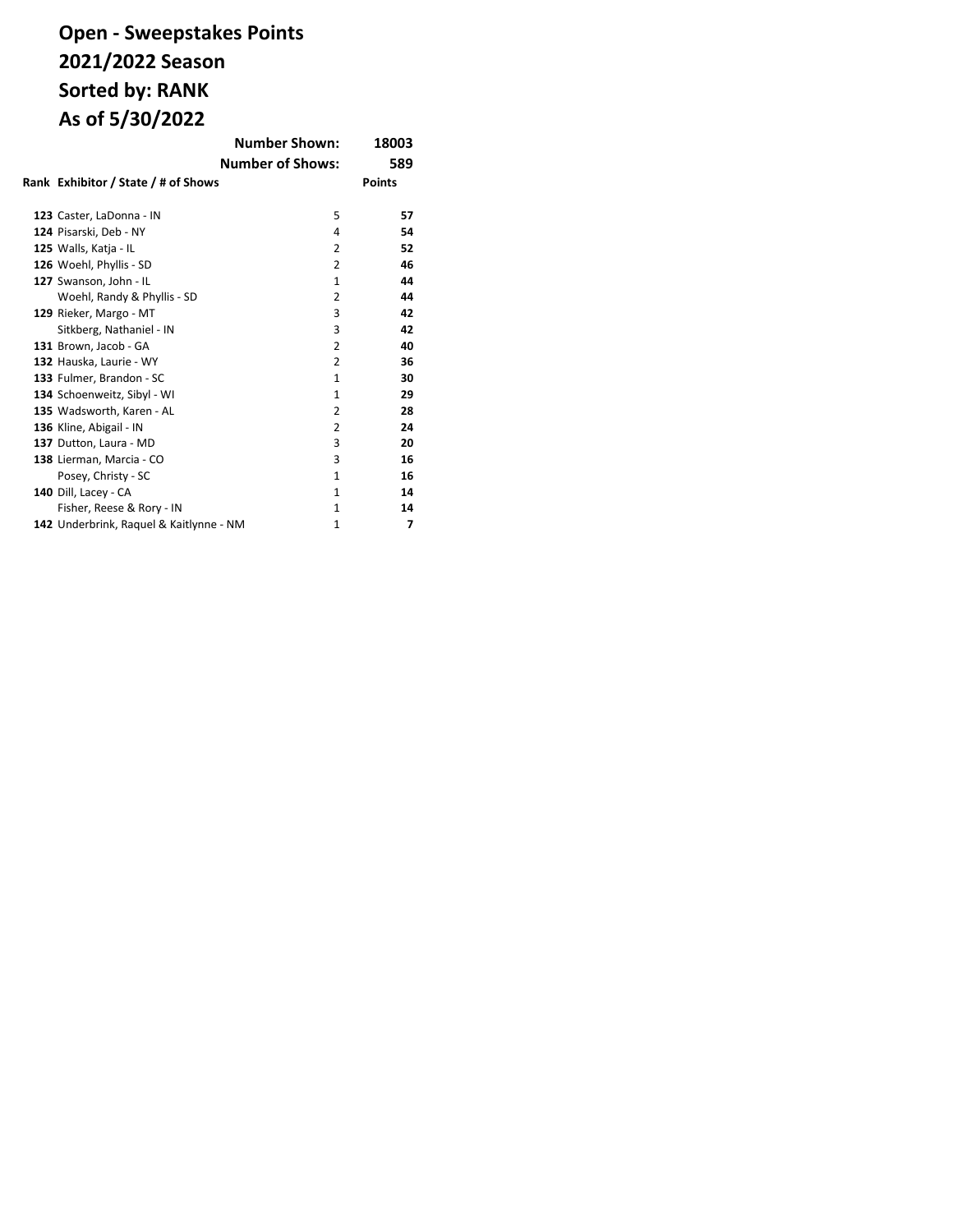# **Open - Sweepstakes Points 2021/2022 Season Sorted by: RANK As of 5/30/2022**

|                                         | <b>Number Shown:</b>    | 18003         |
|-----------------------------------------|-------------------------|---------------|
|                                         | <b>Number of Shows:</b> | 589           |
| Rank Exhibitor / State / # of Shows     |                         | <b>Points</b> |
| 123 Caster, LaDonna - IN                | 5                       | 57            |
| 124 Pisarski, Deb - NY                  | 4                       | 54            |
| 125 Walls, Katja - IL                   | 2                       | 52            |
| 126 Woehl, Phyllis - SD                 | 2                       | 46            |
| 127 Swanson, John - IL                  | $\mathbf{1}$            | 44            |
| Woehl, Randy & Phyllis - SD             | 2                       | 44            |
| 129 Rieker, Margo - MT                  | 3                       | 42            |
| Sitkberg, Nathaniel - IN                | 3                       | 42            |
| 131 Brown, Jacob - GA                   | 2                       | 40            |
| 132 Hauska, Laurie - WY                 | 2                       | 36            |
| 133 Fulmer, Brandon - SC                | $\mathbf{1}$            | 30            |
| 134 Schoenweitz, Sibyl - WI             | $\mathbf{1}$            | 29            |
| 135 Wadsworth, Karen - AL               | 2                       | 28            |
| 136 Kline, Abigail - IN                 | 2                       | 24            |
| 137 Dutton, Laura - MD                  | 3                       | 20            |
| 138 Lierman, Marcia - CO                | 3                       | 16            |
| Posey, Christy - SC                     | $\mathbf{1}$            | 16            |
| 140 Dill, Lacey - CA                    | $\mathbf{1}$            | 14            |
| Fisher, Reese & Rory - IN               | 1                       | 14            |
| 142 Underbrink, Raquel & Kaitlynne - NM | 1                       | 7             |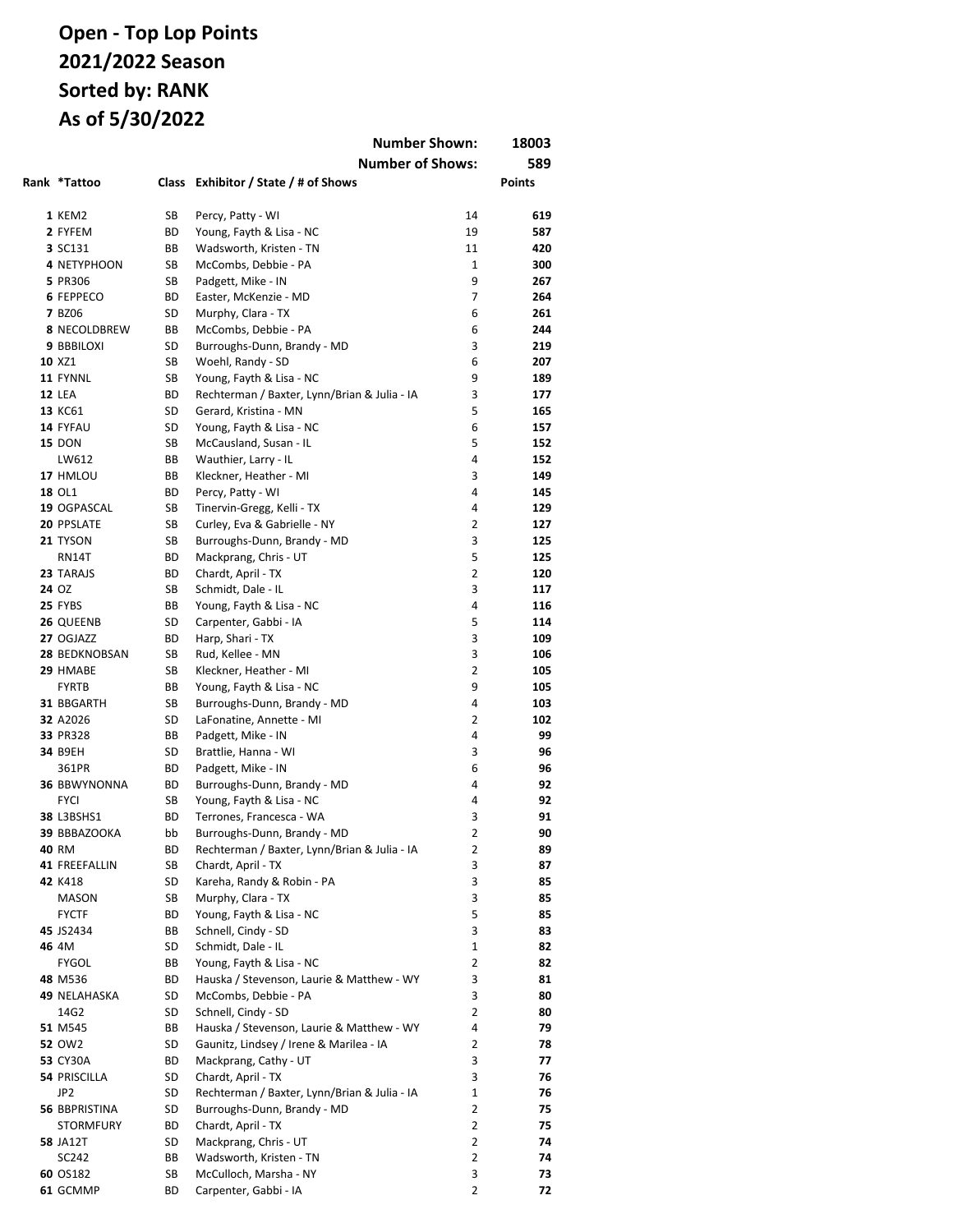|                         |              | <b>Number Shown:</b>                                                  |        | 18003         |
|-------------------------|--------------|-----------------------------------------------------------------------|--------|---------------|
|                         |              | <b>Number of Shows:</b>                                               |        | 589           |
| Rank *Tattoo            | <b>Class</b> | Exhibitor / State / # of Shows                                        |        | <b>Points</b> |
|                         |              |                                                                       |        |               |
| 1 KEM2                  | SB           | Percy, Patty - WI                                                     | 14     | 619           |
| 2 FYFEM                 | ВD           | Young, Fayth & Lisa - NC                                              | 19     | 587           |
| 3 SC131                 | BВ           | Wadsworth, Kristen - TN                                               | 11     | 420           |
| 4 NETYPHOON             | SB           | McCombs, Debbie - PA                                                  | 1      | 300           |
| 5 PR306                 | SB           | Padgett, Mike - IN                                                    | 9      | 267           |
| <b>6 FEPPECO</b>        | ВD           | Easter, McKenzie - MD                                                 | 7      | 264           |
| <b>7 BZ06</b>           | SD           | Murphy, Clara - TX                                                    | 6      | 261           |
| 8 NECOLDBREW            | BВ           | McCombs, Debbie - PA                                                  | 6      | 244           |
| 9 BBBILOXI              | SD           | Burroughs-Dunn, Brandy - MD                                           | 3      | 219           |
| 10 XZ1                  | SB           | Woehl, Randy - SD                                                     | 6      | 207           |
| 11 FYNNL                | SB           | Young, Fayth & Lisa - NC                                              | 9      | 189           |
| <b>12 LEA</b>           | ВD           | Rechterman / Baxter, Lynn/Brian & Julia - IA                          | 3      | 177           |
| 13 KC61                 | SD           | Gerard, Kristina - MN                                                 | 5      | 165           |
| 14 FYFAU                | SD           | Young, Fayth & Lisa - NC                                              | 6      | 157           |
| <b>15 DON</b><br>LW612  | SB           | McCausland, Susan - IL                                                | 5<br>4 | 152           |
|                         | ВB           | Wauthier, Larry - IL                                                  | 3      | 152<br>149    |
| 17 HMLOU<br>18 OL1      | ВB<br>ВD     | Kleckner, Heather - MI<br>Percy, Patty - WI                           | 4      | 145           |
| 19 OGPASCAL             | SB           | Tinervin-Gregg, Kelli - TX                                            | 4      | 129           |
| 20 PPSLATE              | SB           | Curley, Eva & Gabrielle - NY                                          | 2      | 127           |
| 21 TYSON                | SB           | Burroughs-Dunn, Brandy - MD                                           | 3      | 125           |
| RN14T                   | ВD           | Mackprang, Chris - UT                                                 | 5      | 125           |
| 23 TARAJS               | ВD           | Chardt, April - TX                                                    | 2      | 120           |
| 24 OZ                   | SB           | Schmidt, Dale - IL                                                    | 3      | 117           |
| 25 FYBS                 | ВB           | Young, Fayth & Lisa - NC                                              | 4      | 116           |
| 26 QUEENB               | SD           | Carpenter, Gabbi - IA                                                 | 5      | 114           |
| 27 OGJAZZ               | ВD           | Harp, Shari - TX                                                      | 3      | 109           |
| 28 BEDKNOBSAN           | SB           | Rud, Kellee - MN                                                      | 3      | 106           |
| 29 HMABE                | SB           | Kleckner, Heather - MI                                                | 2      | 105           |
| <b>FYRTB</b>            | ВB           | Young, Fayth & Lisa - NC                                              | 9      | 105           |
| 31 BBGARTH              | SB           | Burroughs-Dunn, Brandy - MD                                           | 4      | 103           |
| 32 A2026                | SD           | LaFonatine, Annette - MI                                              | 2      | 102           |
| 33 PR328                | ВB           | Padgett, Mike - IN                                                    | 4      | 99            |
| 34 B9EH                 | SD           | Brattlie, Hanna - WI                                                  | 3      | 96            |
| 361PR                   | ВD           | Padgett, Mike - IN                                                    | 6      | 96            |
| <b>36 BBWYNONNA</b>     | ВD           | Burroughs-Dunn, Brandy - MD                                           | 4      | 92            |
| <b>FYCI</b>             | SB           | Young, Fayth & Lisa - NC                                              | 4      | 92            |
| 38 L3BSHS1              | ВD           | Terrones, Francesca - WA                                              | 3      | 91            |
| 39 BBBAZOOKA            | bb           | Burroughs-Dunn, Brandy - MD                                           | 2      | 90            |
| 40 RM                   | ВD           | Rechterman / Baxter, Lynn/Brian & Julia - IA                          | 2      | 89            |
| 41 FREEFALLIN           | SB           | Chardt, April - TX                                                    | 3      | 87            |
| 42 K418                 | SD           | Kareha, Randy & Robin - PA                                            | 3      | 85            |
| MASON                   | SB           | Murphy, Clara - TX                                                    | 3      | 85            |
| <b>FYCTF</b>            | BD           | Young, Fayth & Lisa - NC                                              | 5      | 85            |
| 45 JS2434               | ВB           | Schnell, Cindy - SD                                                   | 3      | 83            |
| 46 4M                   | SD           | Schmidt, Dale - IL                                                    | 1      | 82            |
| <b>FYGOL</b><br>48 M536 | ВB<br>BD     | Young, Fayth & Lisa - NC<br>Hauska / Stevenson, Laurie & Matthew - WY | 2<br>3 | 82            |
| 49 NELAHASKA            | SD           | McCombs, Debbie - PA                                                  | 3      | 81<br>80      |
| 14G2                    | SD           | Schnell, Cindy - SD                                                   | 2      | 80            |
| 51 M545                 | ВB           | Hauska / Stevenson, Laurie & Matthew - WY                             | 4      | 79            |
| <b>52 OW2</b>           | SD           | Gaunitz, Lindsey / Irene & Marilea - IA                               | 2      | 78            |
| <b>53 CY30A</b>         | BD           | Mackprang, Cathy - UT                                                 | 3      | 77            |
| <b>54 PRISCILLA</b>     | SD           | Chardt, April - TX                                                    | 3      | 76            |
| JP2                     | SD           | Rechterman / Baxter, Lynn/Brian & Julia - IA                          | 1      | 76            |
| 56 BBPRISTINA           | SD           | Burroughs-Dunn, Brandy - MD                                           | 2      | 75            |
| <b>STORMFURY</b>        | BD           | Chardt, April - TX                                                    | 2      | 75            |
| <b>58 JA12T</b>         | SD           | Mackprang, Chris - UT                                                 | 2      | 74            |
| SC242                   | ВB           | Wadsworth, Kristen - TN                                               | 2      | 74            |
| 60 OS182                | SB           | McCulloch, Marsha - NY                                                | 3      | 73            |
| 61 GCMMP                | BD           | Carpenter, Gabbi - IA                                                 | 2      | 72            |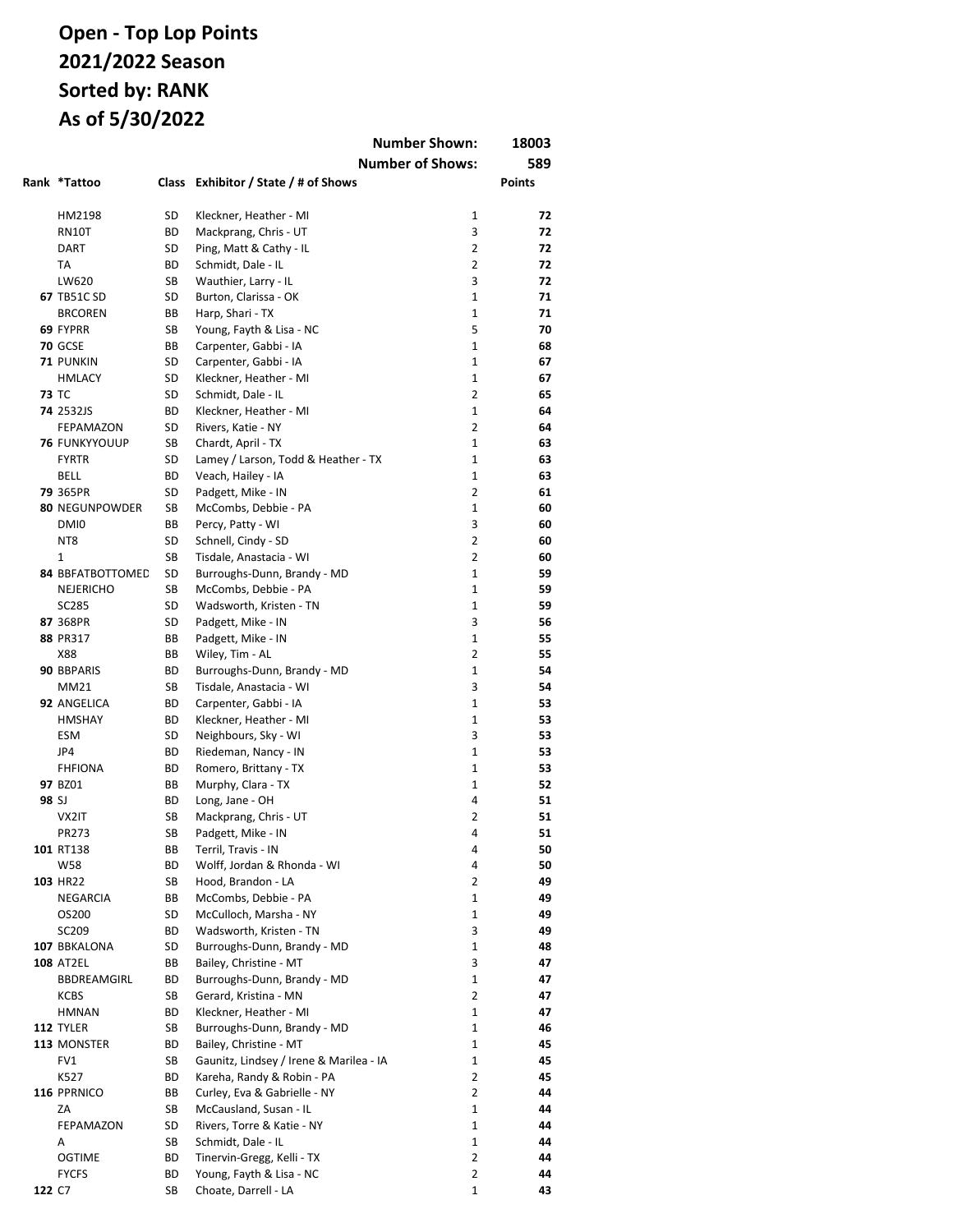|        |                                      |          |                                                           | <b>Number Shown:</b>    | 18003         |
|--------|--------------------------------------|----------|-----------------------------------------------------------|-------------------------|---------------|
|        |                                      |          |                                                           | <b>Number of Shows:</b> | 589           |
|        | Rank *Tattoo                         |          | Class Exhibitor / State / # of Shows                      |                         | <b>Points</b> |
|        |                                      |          |                                                           |                         |               |
|        | HM2198                               | SD       | Kleckner, Heather - MI                                    | $\mathbf{1}$            | 72            |
|        | <b>RN10T</b>                         | ВD       | Mackprang, Chris - UT                                     | 3                       | 72            |
|        | <b>DART</b>                          | SD       | Ping, Matt & Cathy - IL                                   | $\overline{2}$          | 72            |
|        | TA                                   | ВD       | Schmidt, Dale - IL                                        | 2                       | 72            |
|        | LW620                                | SB       | Wauthier, Larry - IL                                      | 3                       | 72            |
|        | <b>67 TB51C SD</b>                   | SD       | Burton, Clarissa - OK                                     | $\mathbf{1}$            | 71            |
|        | <b>BRCOREN</b>                       | BB       | Harp, Shari - TX                                          | $\mathbf{1}$            | 71            |
|        | 69 FYPRR                             | SB       | Young, Fayth & Lisa - NC                                  | 5                       | 70            |
|        | <b>70 GCSE</b>                       | BB       | Carpenter, Gabbi - IA                                     | $\mathbf{1}$            | 68            |
|        | 71 PUNKIN                            | SD       | Carpenter, Gabbi - IA                                     | $\mathbf{1}$            | 67            |
|        | <b>HMLACY</b>                        | SD       | Kleckner, Heather - MI                                    | $\mathbf{1}$            | 67            |
|        | <b>73 TC</b>                         | SD       | Schmidt, Dale - IL                                        | $\overline{2}$          | 65            |
|        | 74 2532JS                            | BD       | Kleckner, Heather - MI                                    | $\mathbf{1}$<br>2       | 64            |
|        | FEPAMAZON                            | SD       | Rivers, Katie - NY                                        | $\mathbf{1}$            | 64            |
|        | <b>76 FUNKYYOUUP</b><br><b>FYRTR</b> | SB<br>SD | Chardt, April - TX<br>Lamey / Larson, Todd & Heather - TX | $\mathbf{1}$            | 63<br>63      |
|        | BELL                                 | ВD       | Veach, Hailey - IA                                        | $\mathbf{1}$            | 63            |
|        | 79 365PR                             | SD       | Padgett, Mike - IN                                        | 2                       | 61            |
|        | 80 NEGUNPOWDER                       | SB       | McCombs, Debbie - PA                                      | 1                       | 60            |
|        | DMI0                                 | ВB       | Percy, Patty - WI                                         | 3                       | 60            |
|        | NT8                                  | SD       | Schnell, Cindy - SD                                       | 2                       | 60            |
|        | 1                                    | SB       | Tisdale, Anastacia - WI                                   | 2                       | 60            |
|        | 84 BBFATBOTTOMED                     | SD       | Burroughs-Dunn, Brandy - MD                               | 1                       | 59            |
|        | <b>NEJERICHO</b>                     | SB       | McCombs, Debbie - PA                                      | 1                       | 59            |
|        | SC285                                | SD       | Wadsworth, Kristen - TN                                   | 1                       | 59            |
|        | 87 368PR                             | SD       | Padgett, Mike - IN                                        | 3                       | 56            |
|        | 88 PR317                             | BВ       | Padgett, Mike - IN                                        | $\mathbf{1}$            | 55            |
|        | X88                                  | ВB       | Wiley, Tim - AL                                           | $\overline{2}$          | 55            |
|        | 90 BBPARIS                           | ВD       | Burroughs-Dunn, Brandy - MD                               | $\mathbf{1}$            | 54            |
|        | MM21                                 | SB       | Tisdale, Anastacia - WI                                   | 3                       | 54            |
|        | 92 ANGELICA                          | ВD       | Carpenter, Gabbi - IA                                     | $\mathbf{1}$            | 53            |
|        | <b>HMSHAY</b>                        | ВD       | Kleckner, Heather - MI                                    | $\mathbf{1}$            | 53            |
|        | <b>ESM</b>                           | SD       | Neighbours, Sky - WI                                      | 3                       | 53            |
|        | JP4                                  | ВD       | Riedeman, Nancy - IN                                      | $\mathbf{1}$            | 53            |
|        | <b>FHFIONA</b>                       | BD       | Romero, Brittany - TX                                     | $\mathbf{1}$            | 53            |
|        | 97 BZ01                              | ВB       | Murphy, Clara - TX                                        | $\mathbf{1}$            | 52            |
| 98 SJ  |                                      | ВD       | Long, Jane - OH                                           | 4                       | 51            |
|        | VX2IT                                | SB       | Mackprang, Chris - UT                                     | 2                       | 51            |
|        | PR273                                | SB       | Padgett, Mike - IN                                        | 4                       | 51            |
|        | 101 RT138                            | ВB       | Terril, Travis - IN                                       | 4                       | 50            |
|        | W58                                  | ВD       | Wolff, Jordan & Rhonda - WI                               | 4                       | 50            |
|        | 103 HR22                             | SB       | Hood, Brandon - LA                                        | 2                       | 49            |
|        | NEGARCIA                             | ВB       | McCombs, Debbie - PA                                      | 1                       | 49            |
|        | OS200                                | SD       | McCulloch, Marsha - NY                                    | 1                       | 49            |
|        | SC209                                | ВD       | Wadsworth, Kristen - TN                                   | 3                       | 49            |
|        | 107 BBKALONA                         | SD       | Burroughs-Dunn, Brandy - MD                               | 1                       | 48            |
|        | <b>108 AT2EL</b>                     | ВB       | Bailey, Christine - MT                                    | 3                       | 47            |
|        | BBDREAMGIRL                          | ВD       | Burroughs-Dunn, Brandy - MD                               | 1                       | 47            |
|        | KCBS                                 | SB       | Gerard, Kristina - MN                                     | 2                       | 47            |
|        | <b>HMNAN</b>                         | ВD       | Kleckner, Heather - MI                                    | 1                       | 47            |
|        | 112 TYLER                            | SB       | Burroughs-Dunn, Brandy - MD                               | $\mathbf 1$             | 46            |
|        | 113 MONSTER                          | ВD       | Bailey, Christine - MT                                    | 1                       | 45            |
|        | FV1                                  | SB       | Gaunitz, Lindsey / Irene & Marilea - IA                   | 1<br>2                  | 45            |
|        | K527                                 | ВD       | Kareha, Randy & Robin - PA                                | 2                       | 45            |
|        | 116 PPRNICO<br>ZA                    | ВB<br>SB | Curley, Eva & Gabrielle - NY<br>McCausland, Susan - IL    | 1                       | 44<br>44      |
|        | FEPAMAZON                            | SD       | Rivers, Torre & Katie - NY                                | 1                       | 44            |
|        | Α                                    | SB       | Schmidt, Dale - IL                                        | 1                       | 44            |
|        | <b>OGTIME</b>                        | ВD       | Tinervin-Gregg, Kelli - TX                                | 2                       | 44            |
|        | <b>FYCFS</b>                         | ВD       | Young, Fayth & Lisa - NC                                  | $\overline{2}$          | 44            |
| 122 C7 |                                      | SB       | Choate, Darrell - LA                                      | 1                       | 43            |
|        |                                      |          |                                                           |                         |               |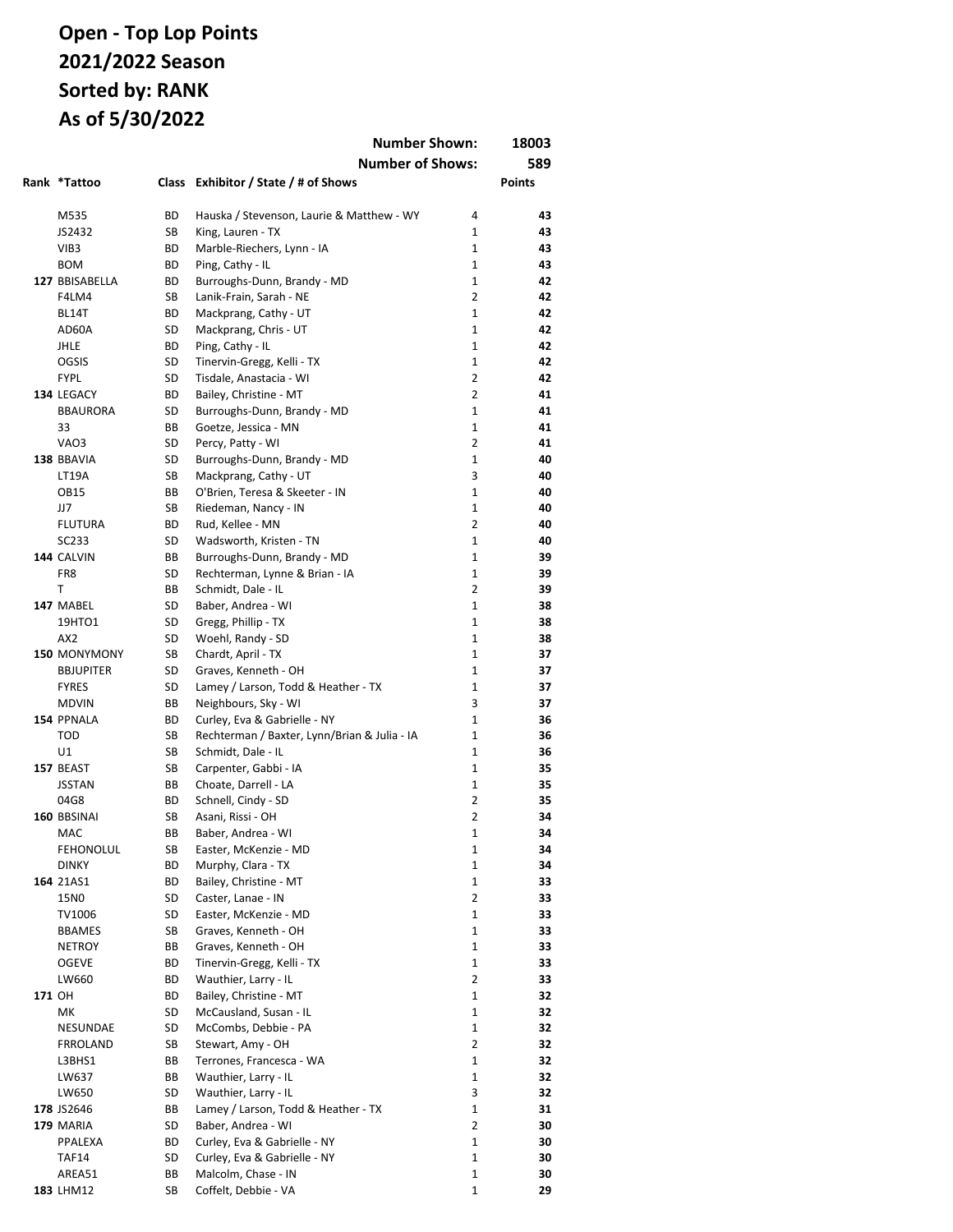|        |                                  |                 |                                                       | <b>Number Shown:</b>             | 18003         |
|--------|----------------------------------|-----------------|-------------------------------------------------------|----------------------------------|---------------|
|        |                                  |                 | <b>Number of Shows:</b>                               |                                  | 589           |
|        | Rank *Tattoo                     |                 | Class Exhibitor / State / # of Shows                  |                                  | <b>Points</b> |
|        |                                  |                 |                                                       |                                  |               |
|        | M535                             | BD              | Hauska / Stevenson, Laurie & Matthew - WY             | 4                                | 43            |
|        | JS2432                           | SB              | King, Lauren - TX                                     | $\mathbf{1}$                     | 43            |
|        | VIB <sub>3</sub>                 | ВD              | Marble-Riechers, Lynn - IA                            | $\mathbf{1}$                     | 43            |
|        | <b>BOM</b>                       | ВD              | Ping, Cathy - IL                                      | $\mathbf{1}$                     | 43            |
|        | 127 BBISABELLA                   | ВD              | Burroughs-Dunn, Brandy - MD                           | $\mathbf{1}$                     | 42            |
|        | F4LM4                            | SB              | Lanik-Frain, Sarah - NE                               | $\overline{2}$                   | 42            |
|        | BL14T                            | ВD              | Mackprang, Cathy - UT                                 | $\mathbf{1}$                     | 42            |
|        | AD60A                            | SD              | Mackprang, Chris - UT                                 | $\mathbf{1}$                     | 42            |
|        | <b>JHLE</b>                      | ВD              | Ping, Cathy - IL                                      | $\mathbf{1}$                     | 42            |
|        | <b>OGSIS</b>                     | SD              | Tinervin-Gregg, Kelli - TX                            | $\mathbf{1}$                     | 42            |
|        | <b>FYPL</b>                      | SD<br><b>BD</b> | Tisdale, Anastacia - WI                               | $\overline{2}$<br>$\overline{2}$ | 42<br>41      |
|        | 134 LEGACY<br><b>BBAURORA</b>    | SD              | Bailey, Christine - MT<br>Burroughs-Dunn, Brandy - MD | $\mathbf{1}$                     | 41            |
|        | 33                               | ВB              | Goetze, Jessica - MN                                  | $\mathbf{1}$                     | 41            |
|        | VAO3                             | SD              | Percy, Patty - WI                                     | $\overline{2}$                   | 41            |
|        | 138 BBAVIA                       | SD              | Burroughs-Dunn, Brandy - MD                           | $\mathbf{1}$                     | 40            |
|        | LT19A                            | SB              | Mackprang, Cathy - UT                                 | 3                                | 40            |
|        | <b>OB15</b>                      | ВB              | O'Brien, Teresa & Skeeter - IN                        | $\mathbf{1}$                     | 40            |
|        | JJ7                              | SB              | Riedeman, Nancy - IN                                  | 1                                | 40            |
|        | <b>FLUTURA</b>                   | BD              | Rud, Kellee - MN                                      | $\overline{2}$                   | 40            |
|        | SC233                            | SD              | Wadsworth, Kristen - TN                               | $\mathbf{1}$                     | 40            |
|        | 144 CALVIN                       | ВB              | Burroughs-Dunn, Brandy - MD                           | $\mathbf{1}$                     | 39            |
|        | FR8                              | SD              | Rechterman, Lynne & Brian - IA                        | $\mathbf{1}$                     | 39            |
|        | T                                | ВB              | Schmidt, Dale - IL                                    | $\overline{2}$                   | 39            |
|        | 147 MABEL                        | SD              | Baber, Andrea - WI                                    | $\mathbf{1}$                     | 38            |
|        | 19HTO1                           | SD              | Gregg, Phillip - TX                                   | $\mathbf{1}$                     | 38            |
|        | AX <sub>2</sub>                  | SD              | Woehl, Randy - SD                                     | $\mathbf{1}$                     | 38            |
|        | 150 MONYMONY                     | SB              | Chardt, April - TX                                    | $\mathbf{1}$                     | 37            |
|        | <b>BBJUPITER</b>                 | SD              | Graves, Kenneth - OH                                  | $\mathbf{1}$                     | 37            |
|        | <b>FYRES</b>                     | SD              | Lamey / Larson, Todd & Heather - TX                   | $\mathbf{1}$                     | 37            |
|        | <b>MDVIN</b>                     | ВB              | Neighbours, Sky - WI                                  | 3                                | 37            |
|        | 154 PPNALA                       | ВD              | Curley, Eva & Gabrielle - NY                          | $\mathbf{1}$                     | 36            |
|        | <b>TOD</b>                       | SB              | Rechterman / Baxter, Lynn/Brian & Julia - IA          | $\mathbf{1}$                     | 36            |
|        | U1                               | SB              | Schmidt, Dale - IL                                    | $\mathbf{1}$                     | 36            |
|        | 157 BEAST                        | SB              | Carpenter, Gabbi - IA                                 | $\mathbf{1}$                     | 35            |
|        | <b>JSSTAN</b>                    | ВB              | Choate, Darrell - LA                                  | $\mathbf{1}$                     | 35            |
|        | 04G8                             | ВD              | Schnell, Cindy - SD                                   | $\overline{2}$                   | 35            |
|        | 160 BBSINAI                      | SB              | Asani, Rissi - OH                                     | $\overline{2}$                   | 34            |
|        | MAC                              | ВB              | Baber, Andrea - WI                                    | 1                                | 34            |
|        | <b>FEHONOLUL</b><br><b>DINKY</b> | SB<br>ВD        | Easter, McKenzie - MD<br>Murphy, Clara - TX           | 1<br>$\mathbf 1$                 | 34<br>34      |
|        | 164 21AS1                        | ВD              | Bailey, Christine - MT                                | $\mathbf 1$                      | 33            |
|        | 15N0                             | SD              | Caster, Lanae - IN                                    | $\overline{2}$                   | 33            |
|        | TV1006                           | SD              | Easter, McKenzie - MD                                 | $\mathbf 1$                      | 33            |
|        | <b>BBAMES</b>                    | SB              | Graves, Kenneth - OH                                  | $\mathbf 1$                      | 33            |
|        | <b>NETROY</b>                    | ВB              | Graves, Kenneth - OH                                  | 1                                | 33            |
|        | <b>OGEVE</b>                     | ВD              | Tinervin-Gregg, Kelli - TX                            | $\mathbf 1$                      | 33            |
|        | LW660                            | ВD              | Wauthier, Larry - IL                                  | $\overline{2}$                   | 33            |
| 171 OH |                                  | ВD              | Bailey, Christine - MT                                | $\mathbf 1$                      | 32            |
|        | МK                               | SD              | McCausland, Susan - IL                                | 1                                | 32            |
|        | NESUNDAE                         | SD              | McCombs, Debbie - PA                                  | $\mathbf 1$                      | 32            |
|        | FRROLAND                         | SB              | Stewart, Amy - OH                                     | $\overline{2}$                   | 32            |
|        | L3BHS1                           | ВB              | Terrones, Francesca - WA                              | 1                                | 32            |
|        | LW637                            | ВB              | Wauthier, Larry - IL                                  | $\mathbf 1$                      | 32            |
|        | LW650                            | SD              | Wauthier, Larry - IL                                  | 3                                | 32            |
|        | 178 JS2646                       | ВB              | Lamey / Larson, Todd & Heather - TX                   | $\mathbf 1$                      | 31            |
|        | 179 MARIA                        | SD              | Baber, Andrea - WI                                    | $\overline{2}$                   | 30            |
|        | PPALEXA                          | ВD              | Curley, Eva & Gabrielle - NY                          | 1                                | 30            |
|        | <b>TAF14</b>                     | SD              | Curley, Eva & Gabrielle - NY                          | 1                                | 30            |
|        | AREA51                           | ВB              | Malcolm, Chase - IN                                   | 1                                | 30            |
|        | 183 LHM12                        | SB              | Coffelt, Debbie - VA                                  | 1                                | 29            |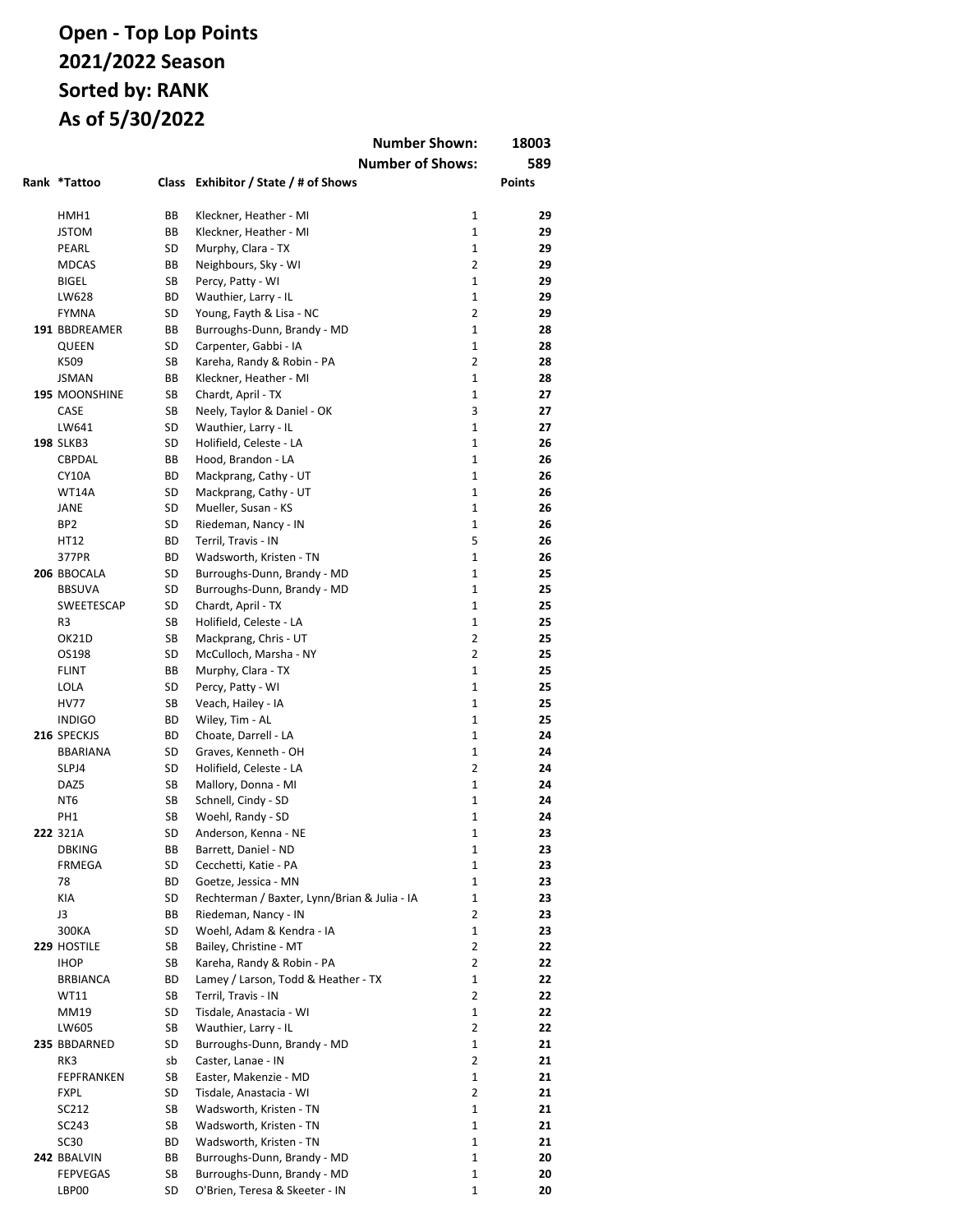|                       |          |                                                    | <b>Number Shown:</b>    | 18003         |
|-----------------------|----------|----------------------------------------------------|-------------------------|---------------|
|                       |          |                                                    | <b>Number of Shows:</b> | 589           |
| Rank *Tattoo          |          | Class Exhibitor / State / # of Shows               |                         | <b>Points</b> |
|                       |          |                                                    |                         |               |
| HMH1                  | ВB       | Kleckner, Heather - MI                             | $\mathbf{1}$            | 29            |
| <b>JSTOM</b>          | ВB       | Kleckner, Heather - MI                             | $\mathbf{1}$            | 29            |
| PEARL                 | SD       | Murphy, Clara - TX                                 | $\mathbf{1}$            | 29            |
| <b>MDCAS</b>          | ВB       | Neighbours, Sky - WI                               | $\overline{2}$          | 29            |
| <b>BIGEL</b>          | SB       | Percy, Patty - WI                                  | $\mathbf{1}$            | 29            |
| LW628                 | BD       | Wauthier, Larry - IL                               | 1                       | 29            |
| <b>FYMNA</b>          | SD       | Young, Fayth & Lisa - NC                           | $\overline{2}$          | 29            |
| 191 BBDREAMER         | BB       | Burroughs-Dunn, Brandy - MD                        | $\mathbf{1}$            | 28            |
| QUEEN                 | SD       | Carpenter, Gabbi - IA                              | 1                       | 28            |
| K509                  | SB       | Kareha, Randy & Robin - PA                         | $\overline{2}$          | 28            |
| <b>JSMAN</b>          | ВB       | Kleckner, Heather - MI                             | $\mathbf{1}$            | 28            |
| 195 MOONSHINE<br>CASE | SB<br>SB | Chardt, April - TX<br>Neely, Taylor & Daniel - OK  | $\mathbf 1$<br>3        | 27<br>27      |
| LW641                 | SD       | Wauthier, Larry - IL                               | 1                       | 27            |
| <b>198 SLKB3</b>      | SD       | Holifield, Celeste - LA                            | 1                       | 26            |
| CBPDAL                | BB       | Hood, Brandon - LA                                 | $\mathbf{1}$            | 26            |
| <b>CY10A</b>          | BD       | Mackprang, Cathy - UT                              | 1                       | 26            |
| WT14A                 | SD       | Mackprang, Cathy - UT                              | 1                       | 26            |
| JANE                  | SD       | Mueller, Susan - KS                                | 1                       | 26            |
| BP <sub>2</sub>       | SD       | Riedeman, Nancy - IN                               | 1                       | 26            |
| HT12                  | ВD       | Terril, Travis - IN                                | 5                       | 26            |
| 377PR                 | BD       | Wadsworth, Kristen - TN                            | 1                       | 26            |
| 206 BBOCALA           | SD       | Burroughs-Dunn, Brandy - MD                        | 1                       | 25            |
| <b>BBSUVA</b>         | SD       | Burroughs-Dunn, Brandy - MD                        | $\mathbf{1}$            | 25            |
| SWEETESCAP            | SD       | Chardt, April - TX                                 | 1                       | 25            |
| R3                    | SB       | Holifield, Celeste - LA                            | $\mathbf{1}$            | 25            |
| OK21D                 | SB       | Mackprang, Chris - UT                              | $\overline{2}$          | 25            |
| OS198                 | SD       | McCulloch, Marsha - NY                             | $\overline{2}$          | 25            |
| <b>FLINT</b>          | ВB       | Murphy, Clara - TX                                 | 1                       | 25            |
| LOLA                  | SD       | Percy, Patty - WI                                  | 1                       | 25            |
| <b>HV77</b>           | SB       | Veach, Hailey - IA                                 | 1                       | 25            |
| <b>INDIGO</b>         | BD       | Wiley, Tim - AL                                    | 1                       | 25            |
| 216 SPECKJS           | BD       | Choate, Darrell - LA                               | 1                       | 24            |
| <b>BBARIANA</b>       | SD<br>SD | Graves, Kenneth - OH                               | 1<br>$\overline{2}$     | 24<br>24      |
| SLPJ4<br>DAZ5         | SB       | Holifield, Celeste - LA                            | 1                       | 24            |
| NT <sub>6</sub>       | SB       | Mallory, Donna - MI<br>Schnell, Cindy - SD         | 1                       | 24            |
| PH <sub>1</sub>       | SB       | Woehl, Randy - SD                                  | 1                       | 24            |
| 222 321A              | SD       | Anderson, Kenna - NE                               | 1                       | 23            |
| <b>DBKING</b>         | ВB       | Barrett, Daniel - ND                               | 1                       | 23            |
| FRMEGA                | SD       | Cecchetti, Katie - PA                              | 1                       | 23            |
| 78                    | BD       | Goetze, Jessica - MN                               | 1                       | 23            |
| KIA                   | SD       | Rechterman / Baxter, Lynn/Brian & Julia - IA       | $\mathbf 1$             | 23            |
| J3                    | ВB       | Riedeman, Nancy - IN                               | 2                       | 23            |
| 300KA                 | SD       | Woehl, Adam & Kendra - IA                          | $\mathbf 1$             | 23            |
| 229 HOSTILE           | SB       | Bailey, Christine - MT                             | 2                       | 22            |
| <b>IHOP</b>           | SB       | Kareha, Randy & Robin - PA                         | $\overline{2}$          | 22            |
| <b>BRBIANCA</b>       | ВD       | Lamey / Larson, Todd & Heather - TX                | 1                       | 22            |
| <b>WT11</b>           | SB       | Terril, Travis - IN                                | 2                       | 22            |
| MM19                  | SD       | Tisdale, Anastacia - WI                            | 1                       | 22            |
| LW605                 | SB       | Wauthier, Larry - IL                               | $\overline{2}$          | 22            |
| 235 BBDARNED          | SD       | Burroughs-Dunn, Brandy - MD                        | 1                       | 21            |
| RK3                   | sb       | Caster, Lanae - IN                                 | 2                       | 21            |
| FEPFRANKEN            | SB       | Easter, Makenzie - MD                              | $\mathbf 1$             | 21            |
| <b>FXPL</b>           | SD       | Tisdale, Anastacia - WI                            | $\overline{2}$          | 21            |
| SC212<br>SC243        | SB<br>SB | Wadsworth, Kristen - TN<br>Wadsworth, Kristen - TN | 1<br>1                  | 21<br>21      |
| <b>SC30</b>           | ВD       | Wadsworth, Kristen - TN                            | 1                       | 21            |
| 242 BBALVIN           | BB       | Burroughs-Dunn, Brandy - MD                        | 1                       | 20            |
| <b>FEPVEGAS</b>       | SB       | Burroughs-Dunn, Brandy - MD                        | 1                       | 20            |
| LBP00                 | SD       | O'Brien, Teresa & Skeeter - IN                     | 1                       | 20            |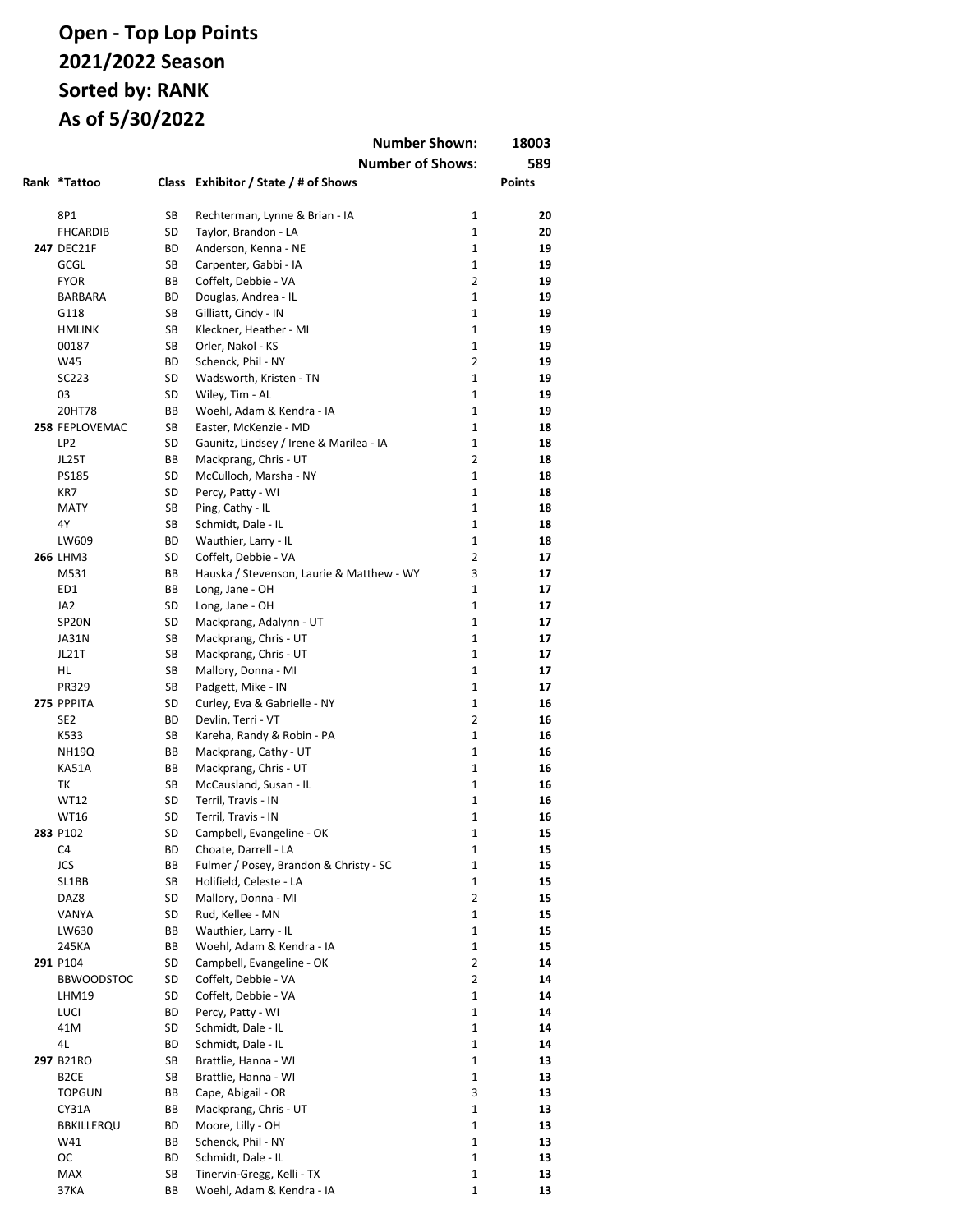|                         |          | <b>Number Shown:</b>                           |                     | 18003         |
|-------------------------|----------|------------------------------------------------|---------------------|---------------|
|                         |          | <b>Number of Shows:</b>                        |                     | 589           |
| Rank *Tattoo            |          | Class Exhibitor / State / # of Shows           |                     | <b>Points</b> |
|                         |          |                                                |                     |               |
| 8P1                     | SB       | Rechterman, Lynne & Brian - IA                 | $\mathbf{1}$        | 20            |
| <b>FHCARDIB</b>         | SD       | Taylor, Brandon - LA                           | $\mathbf{1}$        | 20            |
| <b>247 DEC21F</b>       | BD       | Anderson, Kenna - NE                           | $\mathbf{1}$        | 19            |
| GCGL                    | SB       | Carpenter, Gabbi - IA                          | $\mathbf{1}$        | 19            |
| <b>FYOR</b>             | BB       | Coffelt, Debbie - VA                           | $\overline{2}$      | 19            |
| <b>BARBARA</b>          | ВD       | Douglas, Andrea - IL                           | $\mathbf{1}$        | 19            |
| G118                    | SB       | Gilliatt, Cindy - IN                           | $\mathbf{1}$        | 19            |
| <b>HMLINK</b>           | SB       | Kleckner, Heather - MI                         | 1                   | 19            |
| 00187                   | SB       | Orler, Nakol - KS                              | $\mathbf{1}$        | 19            |
| W45                     | BD       | Schenck, Phil - NY                             | $\overline{2}$      | 19            |
| SC223                   | SD       | Wadsworth, Kristen - TN                        | $\mathbf{1}$        | 19            |
| 03                      | SD       | Wiley, Tim - AL                                | $\mathbf{1}$        | 19            |
| 20HT78                  | BB       | Woehl, Adam & Kendra - IA                      | $\mathbf{1}$        | 19            |
| 258 FEPLOVEMAC          | SB       | Easter, McKenzie - MD                          | $\mathbf{1}$        | 18            |
| LP <sub>2</sub>         | SD       | Gaunitz, Lindsey / Irene & Marilea - IA        | $\mathbf{1}$        | 18            |
| JL25T                   | BB       | Mackprang, Chris - UT                          | $\overline{2}$      | 18            |
| <b>PS185</b>            | SD       | McCulloch, Marsha - NY                         | $\mathbf{1}$        | 18            |
| KR7                     | SD       | Percy, Patty - WI                              | $\mathbf{1}$        | 18            |
| <b>MATY</b>             | SB       | Ping, Cathy - IL                               | $\mathbf{1}$        | 18            |
| 4Y                      | SB       | Schmidt, Dale - IL                             | $\mathbf 1$         | 18            |
| LW609                   | ВD       | Wauthier, Larry - IL                           | 1                   | 18            |
| <b>266 LHM3</b>         | SD       | Coffelt, Debbie - VA                           | $\overline{2}$      | 17            |
| M531                    | ВB       | Hauska / Stevenson, Laurie & Matthew - WY      | 3                   | 17            |
| ED1                     | ВB       | Long, Jane - OH                                | $\mathbf 1$         | 17            |
| JA <sub>2</sub>         | SD       | Long, Jane - OH                                | $\mathbf{1}$        | 17            |
| SP <sub>20N</sub>       | SD       | Mackprang, Adalynn - UT                        | $\mathbf{1}$        | 17            |
| JA31N                   | SB       | Mackprang, Chris - UT                          | $\mathbf{1}$        | 17            |
| JL21T                   | SB       | Mackprang, Chris - UT                          | $\mathbf{1}$        | 17            |
| HL                      | SB       | Mallory, Donna - MI                            | $\mathbf{1}$        | 17            |
| PR329                   | SB       | Padgett, Mike - IN                             | $\mathbf{1}$        | 17            |
| 275 PPPITA              | SD       | Curley, Eva & Gabrielle - NY                   | $\mathbf{1}$        | 16            |
| SE <sub>2</sub><br>K533 | BD<br>SB | Devlin, Terri - VT                             | $\overline{2}$<br>1 | 16            |
| <b>NH19Q</b>            | BB       | Kareha, Randy & Robin - PA                     | $\mathbf{1}$        | 16<br>16      |
| <b>KA51A</b>            | BB       | Mackprang, Cathy - UT<br>Mackprang, Chris - UT | 1                   | 16            |
| ТK                      | SB       | McCausland, Susan - IL                         | $\mathbf{1}$        | 16            |
| <b>WT12</b>             | SD       | Terril, Travis - IN                            | 1                   | 16            |
| <b>WT16</b>             | SD       | Terril, Travis - IN                            | 1                   | 16            |
| 283 P102                | SD       | Campbell, Evangeline - OK                      | 1                   | 15            |
| C4                      | ВD       | Choate, Darrell - LA                           | 1                   | 15            |
| <b>JCS</b>              | BB       | Fulmer / Posey, Brandon & Christy - SC         | 1                   | 15            |
| SL1BB                   | SB       | Holifield, Celeste - LA                        | 1                   | 15            |
| DAZ8                    | SD       | Mallory, Donna - MI                            | $\overline{2}$      | 15            |
| VANYA                   | SD       | Rud, Kellee - MN                               | 1                   | 15            |
| LW630                   | BB       | Wauthier, Larry - IL                           | 1                   | 15            |
| 245KA                   | ВB       | Woehl, Adam & Kendra - IA                      | 1                   | 15            |
| 291 P104                | SD       | Campbell, Evangeline - OK                      | $\overline{2}$      | 14            |
| <b>BBWOODSTOC</b>       | SD       | Coffelt, Debbie - VA                           | $\overline{2}$      | 14            |
| LHM19                   | SD       | Coffelt, Debbie - VA                           | 1                   | 14            |
| <b>LUCI</b>             | BD       | Percy, Patty - WI                              | 1                   | 14            |
| 41M                     | SD       | Schmidt, Dale - IL                             | $\mathbf{1}$        | 14            |
| 4L                      | BD       | Schmidt, Dale - IL                             | 1                   | 14            |
| 297 B21RO               | SB       | Brattlie, Hanna - WI                           | 1                   | 13            |
| B <sub>2</sub> CE       | SB       | Brattlie, Hanna - WI                           | 1                   | 13            |
| <b>TOPGUN</b>           | ВB       | Cape, Abigail - OR                             | 3                   | 13            |
| <b>CY31A</b>            | ВB       | Mackprang, Chris - UT                          | 1                   | 13            |
| BBKILLERQU              | ВD       | Moore, Lilly - OH                              | 1                   | 13            |
| W41                     | BB       | Schenck, Phil - NY                             | 1                   | 13            |
| <b>OC</b>               | BD       | Schmidt, Dale - IL                             | 1                   | 13            |
| <b>MAX</b>              | SB       | Tinervin-Gregg, Kelli - TX                     | 1                   | 13            |
| 37KA                    | ВB       | Woehl, Adam & Kendra - IA                      | 1                   | 13            |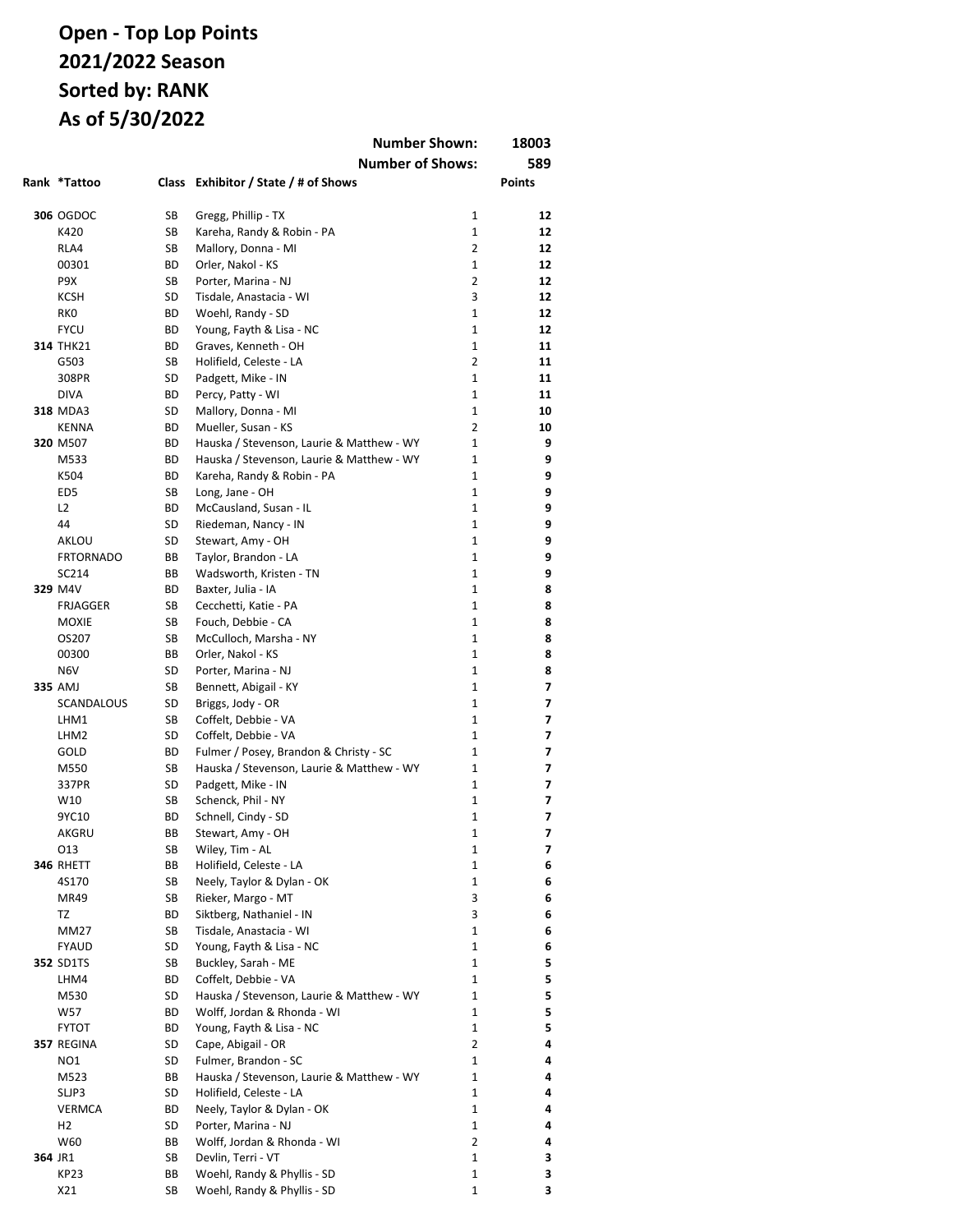|         |                   | <b>Number Shown:</b> |                                                                 | 18003             |               |
|---------|-------------------|----------------------|-----------------------------------------------------------------|-------------------|---------------|
|         |                   |                      | <b>Number of Shows:</b>                                         |                   | 589           |
|         | Rank *Tattoo      |                      | Class Exhibitor / State / # of Shows                            |                   | <b>Points</b> |
|         |                   |                      |                                                                 |                   |               |
|         | <b>306 OGDOC</b>  | SB                   | Gregg, Phillip - TX                                             | $\mathbf{1}$      | 12            |
|         | K420              | SB                   | Kareha, Randy & Robin - PA                                      | 1                 | 12            |
|         | RLA4              | SB                   | Mallory, Donna - MI                                             | 2                 | 12            |
|         | 00301             | ВD                   | Orler, Nakol - KS                                               | $\mathbf{1}$      | 12            |
|         | P9X               | SB                   | Porter, Marina - NJ                                             | $\overline{2}$    | 12            |
|         | <b>KCSH</b>       | SD                   | Tisdale, Anastacia - WI                                         | 3                 | 12            |
|         | RK <sub>0</sub>   | BD                   | Woehl, Randy - SD                                               | $\mathbf{1}$      | 12            |
|         | <b>FYCU</b>       | ВD                   | Young, Fayth & Lisa - NC                                        | $\mathbf{1}$      | 12            |
|         | <b>314 THK21</b>  | BD                   | Graves, Kenneth - OH                                            | $\mathbf{1}$      | 11            |
|         | G503              | SB                   | Holifield, Celeste - LA                                         | 2                 | 11            |
|         | 308PR             | SD                   | Padgett, Mike - IN                                              | $\mathbf{1}$      | 11            |
|         | <b>DIVA</b>       | BD                   | Percy, Patty - WI                                               | $\mathbf{1}$      | 11            |
|         | <b>318 MDA3</b>   | SD                   | Mallory, Donna - MI                                             | 1                 | 10            |
|         | <b>KENNA</b>      | ВD                   | Mueller, Susan - KS                                             | 2                 | 10            |
|         | 320 M507          | ВD                   | Hauska / Stevenson, Laurie & Matthew - WY                       | 1                 | 9             |
|         | M533              | BD                   | Hauska / Stevenson, Laurie & Matthew - WY                       | 1                 | 9             |
|         | K504              | BD                   | Kareha, Randy & Robin - PA                                      | 1                 | 9             |
|         | ED <sub>5</sub>   | SB                   | Long, Jane - OH                                                 | 1                 | 9             |
|         | L <sub>2</sub>    | ВD                   | McCausland, Susan - IL                                          | $\mathbf{1}$      | 9             |
|         | 44                | SD                   | Riedeman, Nancy - IN                                            | 1                 | 9             |
|         | AKLOU             | SD                   | Stewart, Amy - OH                                               | 1                 | 9             |
|         | <b>FRTORNADO</b>  | ВB                   | Taylor, Brandon - LA                                            | 1                 | 9             |
|         | SC214             | ВB                   | Wadsworth, Kristen - TN                                         | 1                 | 9             |
|         | 329 M4V           | ВD                   | Baxter, Julia - IA                                              | 1                 | 8             |
|         | <b>FRJAGGER</b>   | SB                   | Cecchetti, Katie - PA                                           | 1                 | 8             |
|         | <b>MOXIE</b>      | SB                   | Fouch, Debbie - CA                                              | 1                 | 8             |
|         | OS207             | SB                   | McCulloch, Marsha - NY                                          | $\mathbf{1}$      | 8             |
|         | 00300             | ВB                   | Orler, Nakol - KS                                               | 1                 | 8             |
|         | N <sub>6</sub> V  | SD                   | Porter, Marina - NJ                                             | 1                 | 8             |
|         | 335 AMJ           | SB                   | Bennett, Abigail - KY                                           | 1                 | 7             |
|         | <b>SCANDALOUS</b> | SD                   | Briggs, Jody - OR                                               | 1                 | 7<br>7        |
|         | LHM1              | SB<br>SD             | Coffelt, Debbie - VA                                            | 1                 |               |
|         | LHM2<br>GOLD      | ВD                   | Coffelt, Debbie - VA<br>Fulmer / Posey, Brandon & Christy - SC  | 1<br>$\mathbf{1}$ | 7<br>7        |
|         | M550              | SB                   |                                                                 | 1                 | 7             |
|         | 337PR             | SD                   | Hauska / Stevenson, Laurie & Matthew - WY<br>Padgett, Mike - IN | $\mathbf{1}$      | 7             |
|         | W10               | <b>SB</b>            | Schenck, Phil - NY                                              | 1                 | 7             |
|         | 9YC10             | BD                   | Schnell, Cindy - SD                                             | 1                 | 7             |
|         | AKGRU             | ВB                   | Stewart, Amy - OH                                               | 1                 | ,             |
|         | 013               | SB                   | Wiley, Tim - AL                                                 | 1                 | 7             |
|         | 346 RHETT         | ВB                   | Holifield, Celeste - LA                                         | 1                 | 6             |
|         | 4S170             | SB                   | Neely, Taylor & Dylan - OK                                      | 1                 | 6             |
|         | MR49              | SB                   | Rieker, Margo - MT                                              | 3                 | 6             |
|         | TZ                | BD                   | Siktberg, Nathaniel - IN                                        | 3                 | 6             |
|         | <b>MM27</b>       | SB                   | Tisdale, Anastacia - WI                                         | 1                 | 6             |
|         | <b>FYAUD</b>      | SD                   | Young, Fayth & Lisa - NC                                        | 1                 | 6             |
|         | <b>352 SD1TS</b>  | SB                   | Buckley, Sarah - ME                                             | 1                 | 5             |
|         | LHM4              | ВD                   | Coffelt, Debbie - VA                                            | 1                 | 5             |
|         | M530              | SD                   | Hauska / Stevenson, Laurie & Matthew - WY                       | 1                 | 5             |
|         | W57               | ВD                   | Wolff, Jordan & Rhonda - WI                                     | 1                 | 5             |
|         | <b>FYTOT</b>      | ВD                   | Young, Fayth & Lisa - NC                                        | 1                 | 5             |
|         | 357 REGINA        | SD                   | Cape, Abigail - OR                                              | 2                 | 4             |
|         | NO1               | SD                   | Fulmer, Brandon - SC                                            | 1                 | 4             |
|         | M523              | ВB                   | Hauska / Stevenson, Laurie & Matthew - WY                       | 1                 | 4             |
|         | SLJP3             | SD                   | Holifield, Celeste - LA                                         | 1                 | 4             |
|         | VERMCA            | ВD                   | Neely, Taylor & Dylan - OK                                      | 1                 | 4             |
|         | H <sub>2</sub>    | SD                   | Porter, Marina - NJ                                             | 1                 | 4             |
|         | W60               | ВB                   | Wolff, Jordan & Rhonda - WI                                     | 2                 | 4             |
| 364 JR1 |                   | SB                   | Devlin, Terri - VT                                              | 1                 | 3             |
|         | <b>KP23</b>       | ВB                   | Woehl, Randy & Phyllis - SD                                     | 1                 | з             |
|         | X21               | SB                   | Woehl, Randy & Phyllis - SD                                     | 1                 | 3             |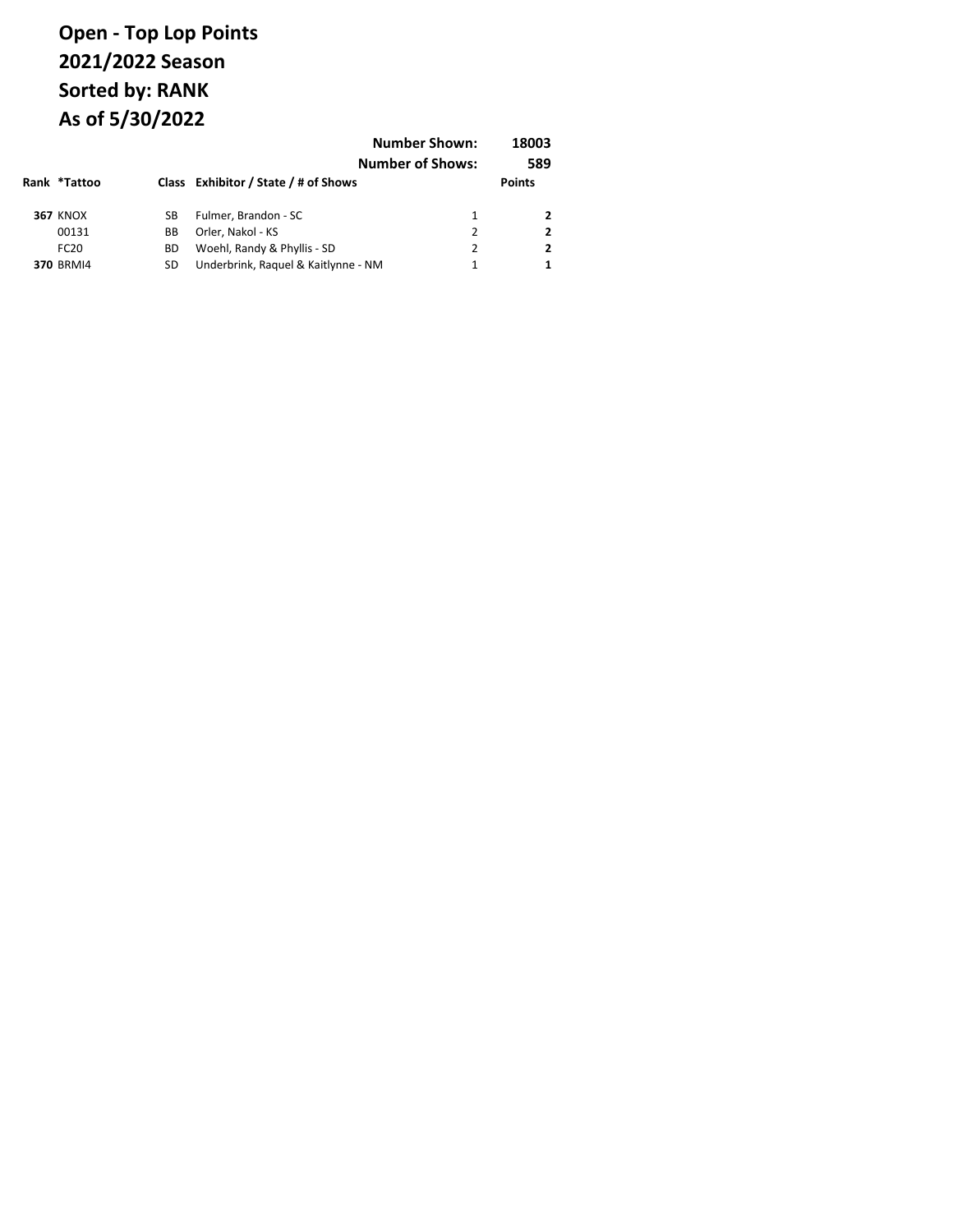| Rank *Tattoo     |    | Class Exhibitor / State / # of Shows | <b>Number Shown:</b><br><b>Number of Shows:</b> | 18003<br>589<br><b>Points</b> |
|------------------|----|--------------------------------------|-------------------------------------------------|-------------------------------|
| <b>367 KNOX</b>  | SB | Fulmer, Brandon - SC                 | 1                                               |                               |
| 00131            | BВ | Orler, Nakol - KS                    | 2                                               |                               |
| FC <sub>20</sub> | ВD | Woehl, Randy & Phyllis - SD          | 2                                               |                               |
| <b>370 BRMI4</b> | SD | Underbrink, Raquel & Kaitlynne - NM  | 1                                               |                               |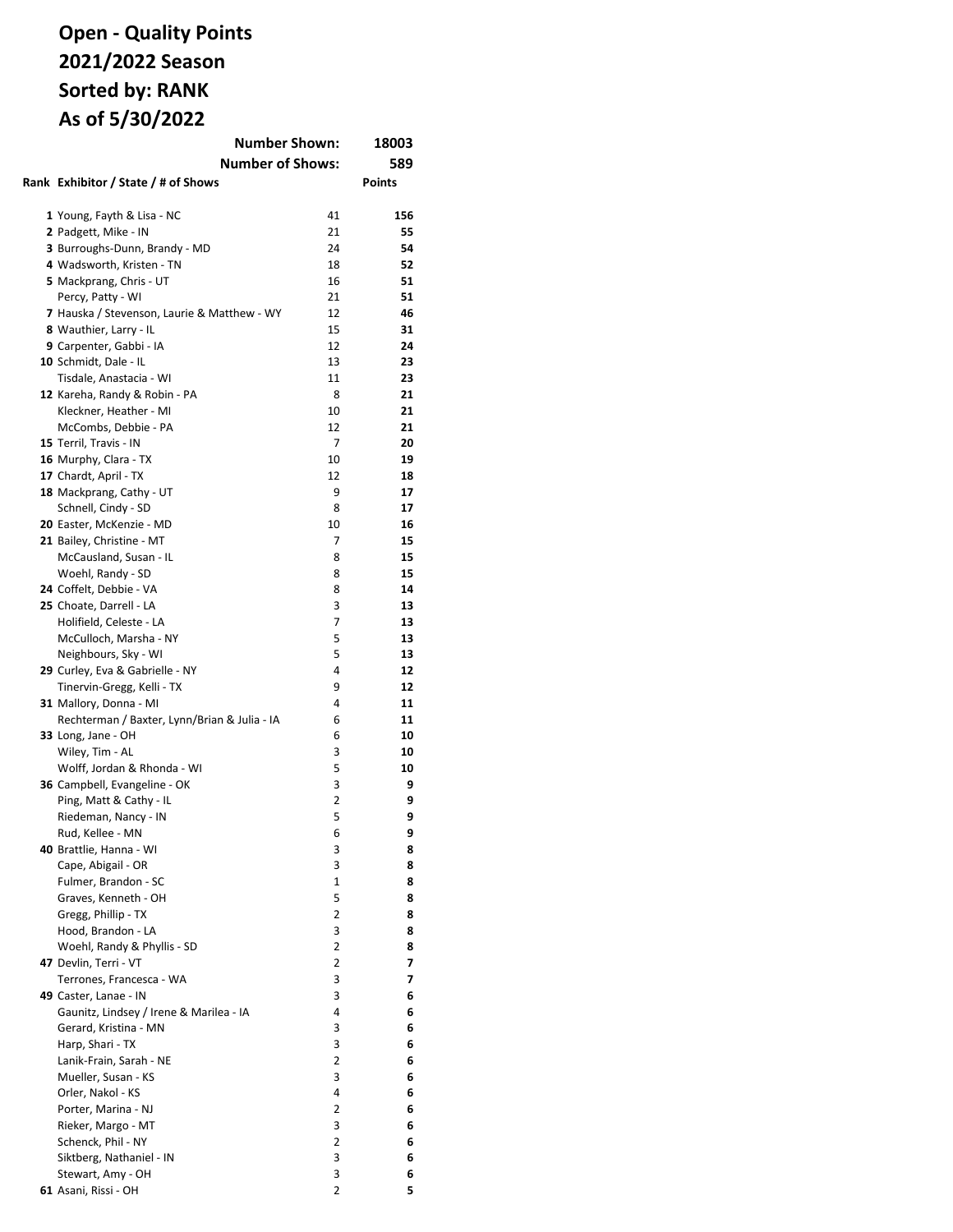# **Open - Quality Points 2021/2022 Season Sorted by: RANK As of 5/30/2022**

| <b>Number Shown:</b>                         |        | 18003         |
|----------------------------------------------|--------|---------------|
| <b>Number of Shows:</b>                      | 589    |               |
| Rank Exhibitor / State / # of Shows          |        | <b>Points</b> |
|                                              |        |               |
| 1 Young, Fayth & Lisa - NC                   | 41     | 156           |
| 2 Padgett, Mike - IN                         | 21     | 55            |
| 3 Burroughs-Dunn, Brandy - MD                | 24     | 54            |
| 4 Wadsworth, Kristen - TN                    | 18     | 52            |
| 5 Mackprang, Chris - UT                      | 16     | 51            |
| Percy, Patty - WI                            | 21     | 51            |
| 7 Hauska / Stevenson, Laurie & Matthew - WY  | 12     | 46            |
| 8 Wauthier, Larry - IL                       | 15     | 31            |
| 9 Carpenter, Gabbi - IA                      | 12     | 24            |
| 10 Schmidt, Dale - IL                        | 13     | 23            |
| Tisdale, Anastacia - WI                      | 11     | 23            |
| 12 Kareha, Randy & Robin - PA                | 8      | 21            |
| Kleckner, Heather - MI                       | 10     | 21            |
| McCombs, Debbie - PA                         | 12     | 21            |
| 15 Terril, Travis - IN                       | 7      | 20            |
| 16 Murphy, Clara - TX                        | 10     | 19            |
| 17 Chardt, April - TX                        | 12     | 18            |
| 18 Mackprang, Cathy - UT                     | 9      | 17            |
| Schnell, Cindy - SD                          | 8      | 17            |
| 20 Easter, McKenzie - MD                     | 10     | 16            |
| 21 Bailey, Christine - MT                    | 7      | 15            |
| McCausland, Susan - IL                       | 8      | 15            |
| Woehl, Randy - SD                            | 8      | 15            |
| 24 Coffelt, Debbie - VA                      | 8      | 14            |
| 25 Choate, Darrell - LA                      | 3      | 13            |
| Holifield, Celeste - LA                      | 7      | 13            |
| McCulloch, Marsha - NY                       | 5      | 13            |
| Neighbours, Sky - WI                         | 5      | 13            |
| 29 Curley, Eva & Gabrielle - NY              | 4      | 12            |
| Tinervin-Gregg, Kelli - TX                   | 9      | 12            |
| 31 Mallory, Donna - MI                       | 4      | 11            |
| Rechterman / Baxter, Lynn/Brian & Julia - IA | 6<br>6 | 11<br>10      |
| 33 Long, Jane - OH<br>Wiley, Tim - AL        | 3      | 10            |
| Wolff, Jordan & Rhonda - WI                  | 5      | 10            |
| 36 Campbell, Evangeline - OK                 | 3      | 9             |
| Ping, Matt & Cathy - IL                      | 2      | 9             |
| Riedeman, Nancy - IN                         | 5      | 9             |
| Rud, Kellee - MN                             | 6      | 9             |
| 40 Brattlie, Hanna - WI                      | 3      | 8             |
| Cape, Abigail - OR                           | 3      | 8             |
| Fulmer, Brandon - SC                         | 1      | 8             |
| Graves, Kenneth - OH                         | 5      | 8             |
| Gregg, Phillip - TX                          | 2      | 8             |
| Hood. Brandon - LA                           | 3      | 8             |
| Woehl, Randy & Phyllis - SD                  | 2      | 8             |
| 47 Devlin, Terri - VT                        | 2      | 7             |
| Terrones, Francesca - WA                     | 3      | 7             |
| 49 Caster, Lanae - IN                        | 3      | 6             |
| Gaunitz, Lindsey / Irene & Marilea - IA      | 4      | 6             |
| Gerard, Kristina - MN                        | 3      | 6             |
| Harp, Shari - TX                             | 3      | 6             |
| Lanik-Frain, Sarah - NE                      | 2      | 6             |
| Mueller, Susan - KS                          | 3      | 6             |
| Orler, Nakol - KS                            | 4      | 6             |
| Porter, Marina - NJ                          | 2      | 6             |
| Rieker, Margo - MT                           | 3      | 6             |
| Schenck, Phil - NY                           | 2      | 6             |
| Siktberg, Nathaniel - IN                     | 3      | 6             |
| Stewart, Amy - OH                            | 3      | 6             |
| 61 Asani, Rissi - OH                         | 2      | 5             |